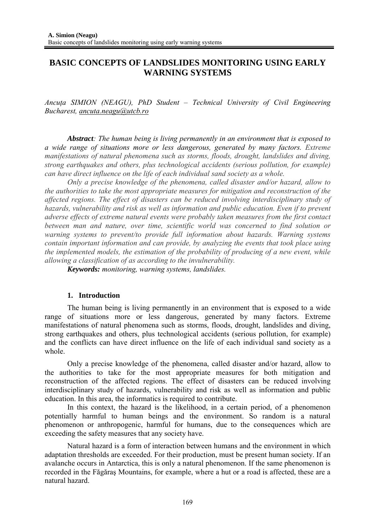# **BASIC CONCEPTS OF LANDSLIDES MONITORING USING EARLY WARNING SYSTEMS**

*Ancuţa SIMION (NEAGU), PhD Student – Technical University of Civil Engineering Bucharest, ancuta.neagu@utcb.ro*

*Abstract: The human being is living permanently in an environment that is exposed to a wide range of situations more or less dangerous, generated by many factors. Extreme manifestations of natural phenomena such as storms, floods, drought, landslides and diving, strong earthquakes and others, plus technological accidents (serious pollution, for example) can have direct influence on the life of each individual sand society as a whole.* 

*Only a precise knowledge of the phenomena, called disaster and/or hazard, allow to the authorities to take the most appropriate measures for mitigation and reconstruction of the affected regions. The effect of disasters can be reduced involving interdisciplinary study of hazards, vulnerability and risk as well as information and public education. Even if to prevent adverse effects of extreme natural events were probably taken measures from the first contact between man and nature, over time, scientific world was concerned to find solution or warning systems to prevent/to provide full information about hazards. Warning systems contain important information and can provide, by analyzing the events that took place using the implemented models, the estimation of the probability of producing of a new event, while allowing a classification of as according to the invulnerability.* 

*Keywords: monitoring, warning systems, landslides.* 

#### **1. Introduction**

The human being is living permanently in an environment that is exposed to a wide range of situations more or less dangerous, generated by many factors. Extreme manifestations of natural phenomena such as storms, floods, drought, landslides and diving, strong earthquakes and others, plus technological accidents (serious pollution, for example) and the conflicts can have direct influence on the life of each individual sand society as a whole.

Only a precise knowledge of the phenomena, called disaster and/or hazard, allow to the authorities to take for the most appropriate measures for both mitigation and reconstruction of the affected regions. The effect of disasters can be reduced involving interdisciplinary study of hazards, vulnerability and risk as well as information and public education. In this area, the informatics is required to contribute.

In this context, the hazard is the likelihood, in a certain period, of a phenomenon potentially harmful to human beings and the environment. So random is a natural phenomenon or anthropogenic, harmful for humans, due to the consequences which are exceeding the safety measures that any society have.

Natural hazard is a form of interaction between humans and the environment in which adaptation thresholds are exceeded. For their production, must be present human society. If an avalanche occurs in Antarctica, this is only a natural phenomenon. If the same phenomenon is recorded in the Făgăraş Mountains, for example, where a hut or a road is affected, these are a natural hazard.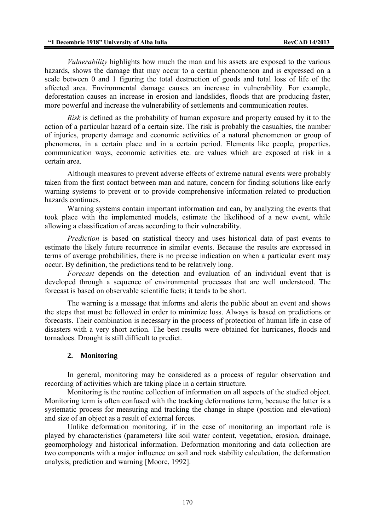*Vulnerability* highlights how much the man and his assets are exposed to the various hazards, shows the damage that may occur to a certain phenomenon and is expressed on a scale between 0 and 1 figuring the total destruction of goods and total loss of life of the affected area. Environmental damage causes an increase in vulnerability. For example, deforestation causes an increase in erosion and landslides, floods that are producing faster, more powerful and increase the vulnerability of settlements and communication routes.

*Risk* is defined as the probability of human exposure and property caused by it to the action of a particular hazard of a certain size. The risk is probably the casualties, the number of injuries, property damage and economic activities of a natural phenomenon or group of phenomena, in a certain place and in a certain period. Elements like people, properties, communication ways, economic activities etc. are values which are exposed at risk in a certain area.

Although measures to prevent adverse effects of extreme natural events were probably taken from the first contact between man and nature, concern for finding solutions like early warning systems to prevent or to provide comprehensive information related to production hazards continues.

Warning systems contain important information and can, by analyzing the events that took place with the implemented models, estimate the likelihood of a new event, while allowing a classification of areas according to their vulnerability.

*Prediction* is based on statistical theory and uses historical data of past events to estimate the likely future recurrence in similar events. Because the results are expressed in terms of average probabilities, there is no precise indication on when a particular event may occur. By definition, the predictions tend to be relatively long.

*Forecast* depends on the detection and evaluation of an individual event that is developed through a sequence of environmental processes that are well understood. The forecast is based on observable scientific facts; it tends to be short.

The warning is a message that informs and alerts the public about an event and shows the steps that must be followed in order to minimize loss. Always is based on predictions or forecasts. Their combination is necessary in the process of protection of human life in case of disasters with a very short action. The best results were obtained for hurricanes, floods and tornadoes. Drought is still difficult to predict.

#### **2. Monitoring**

In general, monitoring may be considered as a process of regular observation and recording of activities which are taking place in a certain structure.

Monitoring is the routine collection of information on all aspects of the studied object. Monitoring term is often confused with the tracking deformations term, because the latter is a systematic process for measuring and tracking the change in shape (position and elevation) and size of an object as a result of external forces.

Unlike deformation monitoring, if in the case of monitoring an important role is played by characteristics (parameters) like soil water content, vegetation, erosion, drainage, geomorphology and historical information. Deformation monitoring and data collection are two components with a major influence on soil and rock stability calculation, the deformation analysis, prediction and warning [Moore, 1992].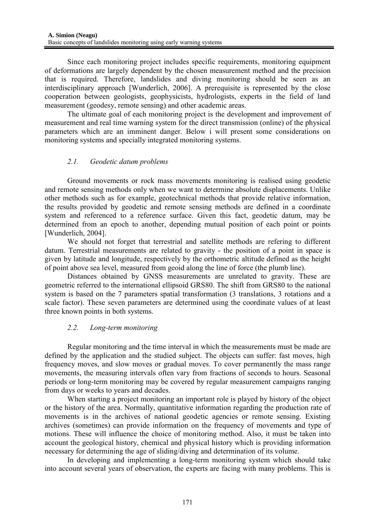Since each monitoring project includes specific requirements, monitoring equipment of deformations are largely dependent by the chosen measurement method and the precision that is required. Therefore, landslides and diving monitoring should be seen as an interdisciplinary approach [Wunderlich, 2006]. A prerequisite is represented by the close cooperation between geologists, geophysicists, hydrologists, experts in the field of land measurement (geodesy, remote sensing) and other academic areas.

The ultimate goal of each monitoring project is the development and improvement of measurement and real time warning system for the direct transmission (online) of the physical parameters which are an imminent danger. Below i will present some considerations on monitoring systems and specially integrated monitoring systems.

# *2.1. Geodetic datum problems*

Ground movements or rock mass movements monitoring is realised using geodetic and remote sensing methods only when we want to determine absolute displacements. Unlike other methods such as for example, geotechnical methods that provide relative information, the results provided by geodetic and remote sensing methods are defined in a coordinate system and referenced to a reference surface. Given this fact, geodetic datum, may be determined from an epoch to another, depending mutual position of each point or points [Wunderlich, 2004].

We should not forget that terrestrial and satellite methods are refering to different datum. Terrestrial measurements are related to gravity - the position of a point in space is given by latitude and longitude, respectively by the orthometric altitude defined as the height of point above sea level, measured from geoid along the line of force (the plumb line).

Distances obtained by GNSS measurements are unrelated to gravity. These are geometric referred to the international ellipsoid GRS80. The shift from GRS80 to the national system is based on the 7 parameters spatial transformation (3 translations, 3 rotations and a scale factor). These seven parameters are determined using the coordinate values of at least three known points in both systems.

# *2.2. Long-term monitoring*

Regular monitoring and the time interval in which the measurements must be made are defined by the application and the studied subject. The objects can suffer: fast moves, high frequency moves, and slow moves or gradual moves. To cover permanently the mass range movements, the measuring intervals often vary from fractions of seconds to hours. Seasonal periods or long-term monitoring may be covered by regular measurement campaigns ranging from days or weeks to years and decades.

When starting a project monitoring an important role is played by history of the object or the history of the area. Normally, quantitative information regarding the production rate of movements is in the archives of national geodetic agencies or remote sensing. Existing archives (sometimes) can provide information on the frequency of movements and type of motions. These will influence the choice of monitoring method. Also, it must be taken into account the geological history, chemical and physical history which is providing information necessary for determining the age of sliding/diving and determination of its volume.

In developing and implementing a long-term monitoring system which should take into account several years of observation, the experts are facing with many problems. This is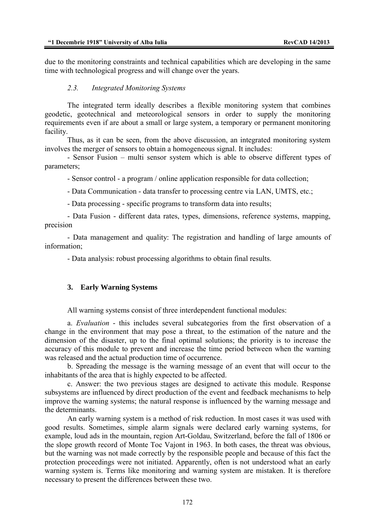due to the monitoring constraints and technical capabilities which are developing in the same time with technological progress and will change over the years.

#### *2.3. Integrated Monitoring Systems*

The integrated term ideally describes a flexible monitoring system that combines geodetic, geotechnical and meteorological sensors in order to supply the monitoring requirements even if are about a small or large system, a temporary or permanent monitoring facility.

Thus, as it can be seen, from the above discussion, an integrated monitoring system involves the merger of sensors to obtain a homogeneous signal. It includes:

- Sensor Fusion – multi sensor system which is able to observe different types of parameters;

- Sensor control - a program / online application responsible for data collection;

- Data Communication - data transfer to processing centre via LAN, UMTS, etc.;

- Data processing - specific programs to transform data into results;

- Data Fusion - different data rates, types, dimensions, reference systems, mapping, precision

- Data management and quality: The registration and handling of large amounts of information;

- Data analysis: robust processing algorithms to obtain final results.

#### **3. Early Warning Systems**

All warning systems consist of three interdependent functional modules:

a. *Evaluation* - this includes several subcategories from the first observation of a change in the environment that may pose a threat, to the estimation of the nature and the dimension of the disaster, up to the final optimal solutions; the priority is to increase the accuracy of this module to prevent and increase the time period between when the warning was released and the actual production time of occurrence.

b. Spreading the message is the warning message of an event that will occur to the inhabitants of the area that is highly expected to be affected.

c. Answer: the two previous stages are designed to activate this module. Response subsystems are influenced by direct production of the event and feedback mechanisms to help improve the warning systems; the natural response is influenced by the warning message and the determinants.

An early warning system is a method of risk reduction. In most cases it was used with good results. Sometimes, simple alarm signals were declared early warning systems, for example, loud ads in the mountain, region Art-Goldau, Switzerland, before the fall of 1806 or the slope growth record of Monte Toc Vajont in 1963. In both cases, the threat was obvious, but the warning was not made correctly by the responsible people and because of this fact the protection proceedings were not initiated. Apparently, often is not understood what an early warning system is. Terms like monitoring and warning system are mistaken. It is therefore necessary to present the differences between these two.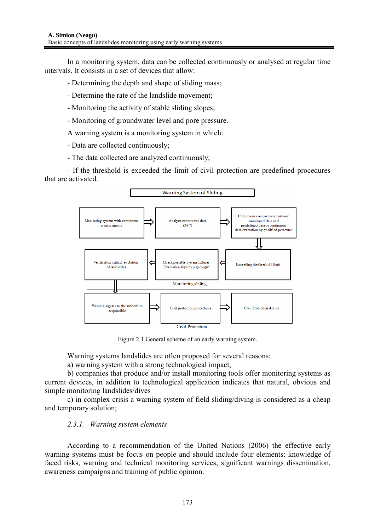In a monitoring system, data can be collected continuously or analysed at regular time intervals. It consists in a set of devices that allow:

- Determining the depth and shape of sliding mass;

- Determine the rate of the landslide movement;
- Monitoring the activity of stable sliding slopes;
- Monitoring of groundwater level and pore pressure.

A warning system is a monitoring system in which:

- Data are collected continuously;

- The data collected are analyzed continuously;

- If the threshold is exceeded the limit of civil protection are predefined procedures that are activated.



Figure 2.1 General scheme of an early warning system.

Warning systems landslides are often proposed for several reasons:

a) warning system with a strong technological impact,

b) companies that produce and/or install monitoring tools offer monitoring systems as current devices, in addition to technological application indicates that natural, obvious and simple monitoring landslides/dives

c) in complex crisis a warning system of field sliding/diving is considered as a cheap and temporary solution;

# *2.3.1. Warning system elements*

According to a recommendation of the United Nations (2006) the effective early warning systems must be focus on people and should include four elements: knowledge of faced risks, warning and technical monitoring services, significant warnings dissemination, awareness campaigns and training of public opinion.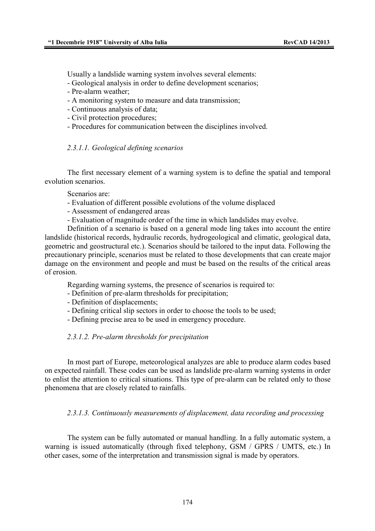Usually a landslide warning system involves several elements:

- Geological analysis in order to define development scenarios;
- Pre-alarm weather;
- A monitoring system to measure and data transmission;
- Continuous analysis of data;
- Civil protection procedures;
- Procedures for communication between the disciplines involved.

### *2.3.1.1. Geological defining scenarios*

The first necessary element of a warning system is to define the spatial and temporal evolution scenarios.

Scenarios are:

- Evaluation of different possible evolutions of the volume displaced
- Assessment of endangered areas
- Evaluation of magnitude order of the time in which landslides may evolve.

Definition of a scenario is based on a general mode ling takes into account the entire landslide (historical records, hydraulic records, hydrogeological and climatic, geological data, geometric and geostructural etc.). Scenarios should be tailored to the input data. Following the precautionary principle, scenarios must be related to those developments that can create major damage on the environment and people and must be based on the results of the critical areas of erosion.

Regarding warning systems, the presence of scenarios is required to:

- Definition of pre-alarm thresholds for precipitation;
- Definition of displacements;
- Defining critical slip sectors in order to choose the tools to be used;
- Defining precise area to be used in emergency procedure.

#### *2.3.1.2. Pre-alarm thresholds for precipitation*

In most part of Europe, meteorological analyzes are able to produce alarm codes based on expected rainfall. These codes can be used as landslide pre-alarm warning systems in order to enlist the attention to critical situations. This type of pre-alarm can be related only to those phenomena that are closely related to rainfalls.

#### *2.3.1.3. Continuously measurements of displacement, data recording and processing*

The system can be fully automated or manual handling. In a fully automatic system, a warning is issued automatically (through fixed telephony, GSM / GPRS / UMTS, etc.) In other cases, some of the interpretation and transmission signal is made by operators.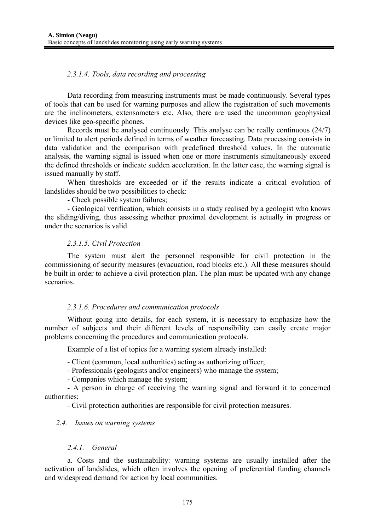## *2.3.1.4. Tools, data recording and processing*

Data recording from measuring instruments must be made continuously. Several types of tools that can be used for warning purposes and allow the registration of such movements are the inclinometers, extensometers etc. Also, there are used the uncommon geophysical devices like geo-specific phones.

Records must be analysed continuously. This analyse can be really continuous (24/7) or limited to alert periods defined in terms of weather forecasting. Data processing consists in data validation and the comparison with predefined threshold values. In the automatic analysis, the warning signal is issued when one or more instruments simultaneously exceed the defined thresholds or indicate sudden acceleration. In the latter case, the warning signal is issued manually by staff.

When thresholds are exceeded or if the results indicate a critical evolution of landslides should be two possibilities to check:

- Check possible system failures;

- Geological verification, which consists in a study realised by a geologist who knows the sliding/diving, thus assessing whether proximal development is actually in progress or under the scenarios is valid.

#### *2.3.1.5. Civil Protection*

The system must alert the personnel responsible for civil protection in the commissioning of security measures (evacuation, road blocks etc.). All these measures should be built in order to achieve a civil protection plan. The plan must be updated with any change scenarios.

#### *2.3.1.6. Procedures and communication protocols*

Without going into details, for each system, it is necessary to emphasize how the number of subjects and their different levels of responsibility can easily create major problems concerning the procedures and communication protocols.

Example of a list of topics for a warning system already installed:

- Client (common, local authorities) acting as authorizing officer;

- Professionals (geologists and/or engineers) who manage the system;

- Companies which manage the system;

- A person in charge of receiving the warning signal and forward it to concerned authorities;

- Civil protection authorities are responsible for civil protection measures.

#### *2.4. Issues on warning systems*

#### *2.4.1. General*

a. Costs and the sustainability: warning systems are usually installed after the activation of landslides, which often involves the opening of preferential funding channels and widespread demand for action by local communities.